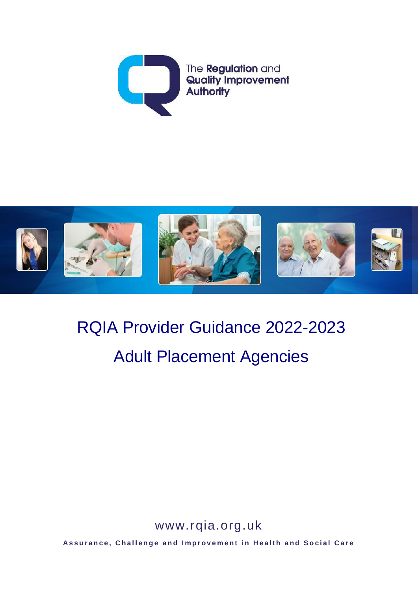



# RQIA Provider Guidance 2022-2023 Adult Placement Agencies

[www.rqia.org.uk](http://www.rqia.org.uk/)

**Assurance, Challenge and Improvement in Health and Social Care**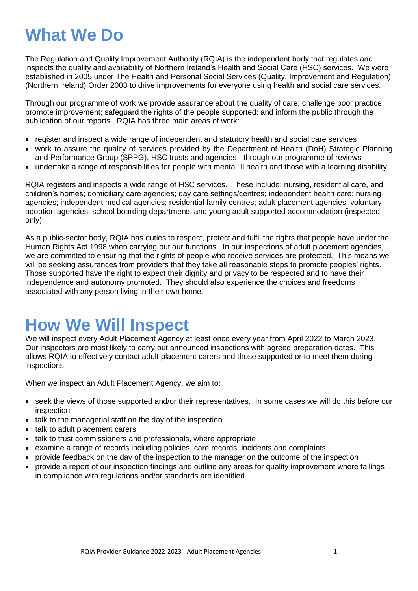# **What We Do**

The Regulation and Quality Improvement Authority (RQIA) is the independent body that regulates and inspects the quality and availability of Northern Ireland's Health and Social Care (HSC) services. We were established in 2005 under The Health and Personal Social Services (Quality, Improvement and Regulation) (Northern Ireland) Order 2003 to drive improvements for everyone using health and social care services.

Through our programme of work we provide assurance about the quality of care; challenge poor practice; promote improvement; safeguard the rights of the people supported; and inform the public through the publication of our reports. RQIA has three main areas of work:

- register and inspect a wide range of independent and statutory health and social care services
- work to assure the quality of services provided by the Department of Health (DoH) Strategic Planning and Performance Group (SPPG), HSC trusts and agencies - through our programme of reviews
- undertake a range of responsibilities for people with mental ill health and those with a learning disability.

RQIA registers and inspects a wide range of HSC services. These include: nursing, residential care, and children's homes; domiciliary care agencies; day care settings/centres; independent health care; nursing agencies; independent medical agencies; residential family centres; adult placement agencies; voluntary adoption agencies, school boarding departments and young adult supported accommodation (inspected only).

As a public-sector body, RQIA has duties to respect, protect and fulfil the rights that people have under the Human Rights Act 1998 when carrying out our functions. In our inspections of adult placement agencies, we are committed to ensuring that the rights of people who receive services are protected. This means we will be seeking assurances from providers that they take all reasonable steps to promote peoples' rights. Those supported have the right to expect their dignity and privacy to be respected and to have their independence and autonomy promoted. They should also experience the choices and freedoms associated with any person living in their own home.

# **How We Will Inspect**

We will inspect every Adult Placement Agency at least once every year from April 2022 to March 2023. Our inspectors are most likely to carry out announced inspections with agreed preparation dates. This allows RQIA to effectively contact adult placement carers and those supported or to meet them during inspections.

When we inspect an Adult Placement Agency, we aim to:

- seek the views of those supported and/or their representatives. In some cases we will do this before our inspection
- talk to the managerial staff on the day of the inspection
- talk to adult placement carers
- talk to trust commissioners and professionals, where appropriate
- examine a range of records including policies, care records, incidents and complaints
- provide feedback on the day of the inspection to the manager on the outcome of the inspection
- provide a report of our inspection findings and outline any areas for quality improvement where failings in compliance with regulations and/or standards are identified.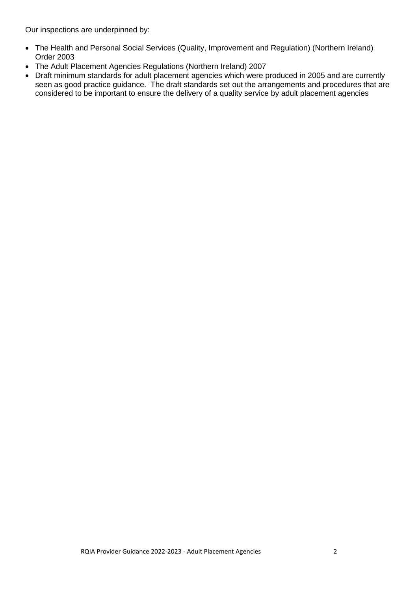Our inspections are underpinned by:

- The Health and Personal Social Services (Quality, Improvement and Regulation) (Northern Ireland) Order 2003
- The Adult Placement Agencies Regulations (Northern Ireland) 2007
- Draft minimum standards for adult placement agencies which were produced in 2005 and are currently seen as good practice guidance. The draft standards set out the arrangements and procedures that are considered to be important to ensure the delivery of a quality service by adult placement agencies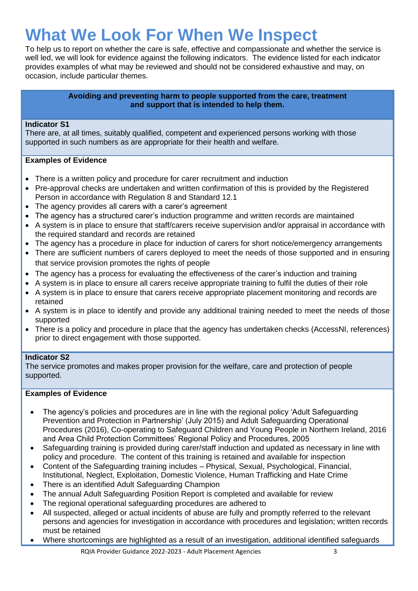# **What We Look For When We Inspect**

To help us to report on whether the care is safe, effective and compassionate and whether the service is well led, we will look for evidence against the following indicators. The evidence listed for each indicator provides examples of what may be reviewed and should not be considered exhaustive and may, on occasion, include particular themes.

# **Avoiding and preventing harm to people supported from the care, treatment and support that is intended to help them.**

# **Indicator S1**

There are, at all times, suitably qualified, competent and experienced persons working with those supported in such numbers as are appropriate for their health and welfare.

# **Examples of Evidence**

- There is a written policy and procedure for carer recruitment and induction
- Pre-approval checks are undertaken and written confirmation of this is provided by the Registered Person in accordance with Regulation 8 and Standard 12.1
- The agency provides all carers with a carer's agreement
- The agency has a structured carer's induction programme and written records are maintained
- A system is in place to ensure that staff/carers receive supervision and/or appraisal in accordance with the required standard and records are retained
- The agency has a procedure in place for induction of carers for short notice/emergency arrangements
- There are sufficient numbers of carers deployed to meet the needs of those supported and in ensuring that service provision promotes the rights of people
- The agency has a process for evaluating the effectiveness of the carer's induction and training
- A system is in place to ensure all carers receive appropriate training to fulfil the duties of their role
- A system is in place to ensure that carers receive appropriate placement monitoring and records are retained
- A system is in place to identify and provide any additional training needed to meet the needs of those supported
- There is a policy and procedure in place that the agency has undertaken checks (AccessNI, references) prior to direct engagement with those supported.

# **Indicator S2**

The service promotes and makes proper provision for the welfare, care and protection of people supported.

- The agency's policies and procedures are in line with the regional policy 'Adult Safeguarding Prevention and Protection in Partnership' (July 2015) and Adult Safeguarding Operational Procedures (2016), Co-operating to Safeguard Children and Young People in Northern Ireland, 2016 and Area Child Protection Committees' Regional Policy and Procedures, 2005
- Safeguarding training is provided during carer/staff induction and updated as necessary in line with policy and procedure. The content of this training is retained and available for inspection
- Content of the Safeguarding training includes Physical, Sexual, Psychological, Financial, Institutional, Neglect, Exploitation, Domestic Violence, Human Trafficking and Hate Crime
- There is an identified Adult Safeguarding Champion
- The annual Adult Safeguarding Position Report is completed and available for review
- The regional operational safeguarding procedures are adhered to
- All suspected, alleged or actual incidents of abuse are fully and promptly referred to the relevant persons and agencies for investigation in accordance with procedures and legislation; written records must be retained
- Where shortcomings are highlighted as a result of an investigation, additional identified safeguards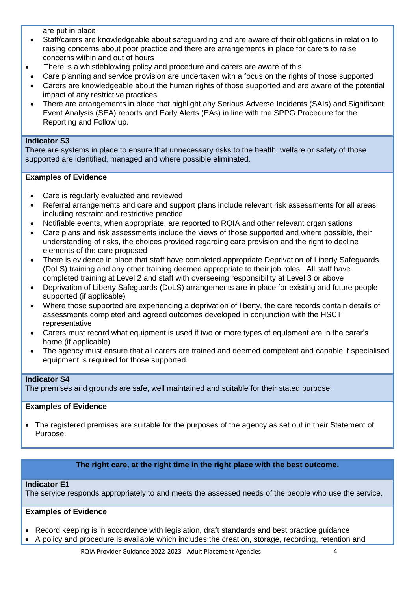are put in place

- Staff/carers are knowledgeable about safeguarding and are aware of their obligations in relation to raising concerns about poor practice and there are arrangements in place for carers to raise concerns within and out of hours
- There is a whistleblowing policy and procedure and carers are aware of this
- Care planning and service provision are undertaken with a focus on the rights of those supported
- Carers are knowledgeable about the human rights of those supported and are aware of the potential impact of any restrictive practices
- There are arrangements in place that highlight any Serious Adverse Incidents (SAIs) and Significant Event Analysis (SEA) reports and Early Alerts (EAs) in line with the SPPG Procedure for the Reporting and Follow up.

#### **Indicator S3**

There are systems in place to ensure that unnecessary risks to the health, welfare or safety of those supported are identified, managed and where possible eliminated.

# **Examples of Evidence**

- Care is regularly evaluated and reviewed
- Referral arrangements and care and support plans include relevant risk assessments for all areas including restraint and restrictive practice
- Notifiable events, when appropriate, are reported to RQIA and other relevant organisations
- Care plans and risk assessments include the views of those supported and where possible, their understanding of risks, the choices provided regarding care provision and the right to decline elements of the care proposed
- There is evidence in place that staff have completed appropriate Deprivation of Liberty Safeguards (DoLS) training and any other training deemed appropriate to their job roles. All staff have completed training at Level 2 and staff with overseeing responsibility at Level 3 or above
- Deprivation of Liberty Safeguards (DoLS) arrangements are in place for existing and future people supported (if applicable)
- Where those supported are experiencing a deprivation of liberty, the care records contain details of assessments completed and agreed outcomes developed in conjunction with the HSCT representative
- Carers must record what equipment is used if two or more types of equipment are in the carer's home (if applicable)
- The agency must ensure that all carers are trained and deemed competent and capable if specialised equipment is required for those supported.

# **Indicator S4**

The premises and grounds are safe, well maintained and suitable for their stated purpose.

# **Examples of Evidence**

 The registered premises are suitable for the purposes of the agency as set out in their Statement of Purpose.

# **The right care, at the right time in the right place with the best outcome.**

# **Indicator E1**

The service responds appropriately to and meets the assessed needs of the people who use the service.

- Record keeping is in accordance with legislation, draft standards and best practice guidance
- A policy and procedure is available which includes the creation, storage, recording, retention and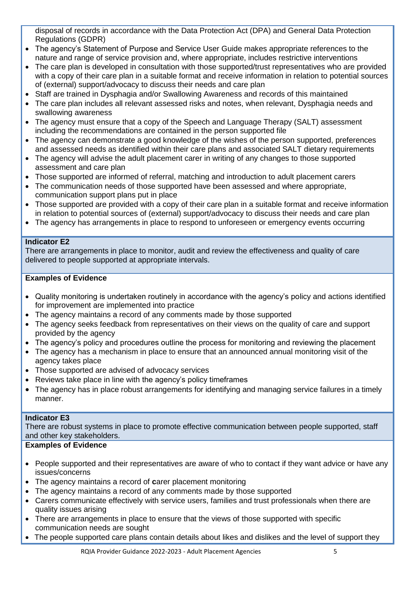disposal of records in accordance with the Data Protection Act (DPA) and General Data Protection Regulations (GDPR)

- The agency's Statement of Purpose and Service User Guide makes appropriate references to the nature and range of service provision and, where appropriate, includes restrictive interventions
- The care plan is developed in consultation with those supported/trust representatives who are provided with a copy of their care plan in a suitable format and receive information in relation to potential sources of (external) support/advocacy to discuss their needs and care plan
- Staff are trained in Dysphagia and/or Swallowing Awareness and records of this maintained
- The care plan includes all relevant assessed risks and notes, when relevant, Dysphagia needs and swallowing awareness
- The agency must ensure that a copy of the Speech and Language Therapy (SALT) assessment including the recommendations are contained in the person supported file
- The agency can demonstrate a good knowledge of the wishes of the person supported, preferences and assessed needs as identified within their care plans and associated SALT dietary requirements
- The agency will advise the adult placement carer in writing of any changes to those supported assessment and care plan
- Those supported are informed of referral, matching and introduction to adult placement carers
- The communication needs of those supported have been assessed and where appropriate, communication support plans put in place
- Those supported are provided with a copy of their care plan in a suitable format and receive information in relation to potential sources of (external) support/advocacy to discuss their needs and care plan
- The agency has arrangements in place to respond to unforeseen or emergency events occurring

# **Indicator E2**

There are arrangements in place to monitor, audit and review the effectiveness and quality of care delivered to people supported at appropriate intervals.

# **Examples of Evidence**

- Quality monitoring is undertaken routinely in accordance with the agency's policy and actions identified for improvement are implemented into practice
- The agency maintains a record of any comments made by those supported
- The agency seeks feedback from representatives on their views on the quality of care and support provided by the agency
- The agency's policy and procedures outline the process for monitoring and reviewing the placement
- The agency has a mechanism in place to ensure that an announced annual monitoring visit of the agency takes place
- Those supported are advised of advocacy services
- Reviews take place in line with the agency's policy timeframes
- The agency has in place robust arrangements for identifying and managing service failures in a timely manner.

# **Indicator E3**

There are robust systems in place to promote effective communication between people supported, staff and other key stakeholders.

- People supported and their representatives are aware of who to contact if they want advice or have any issues/concerns
- The agency maintains a record of **c**arer placement monitoring
- The agency maintains a record of any comments made by those supported
- Carers communicate effectively with service users, families and trust professionals when there are quality issues arising
- There are arrangements in place to ensure that the views of those supported with specific communication needs are sought
- The people supported care plans contain details about likes and dislikes and the level of support they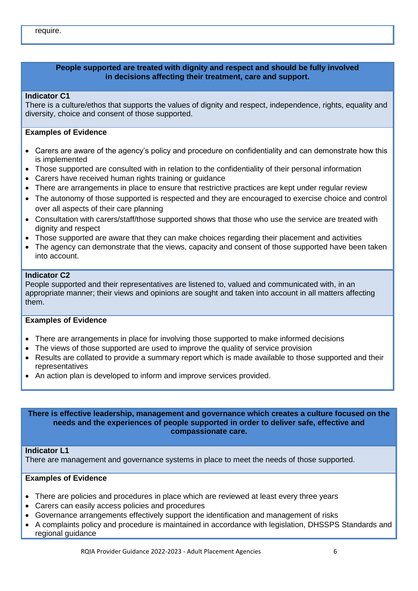# **People supported are treated with dignity and respect and should be fully involved in decisions affecting their treatment, care and support.**

#### **Indicator C1**

There is a culture/ethos that supports the values of dignity and respect, independence, rights, equality and diversity, choice and consent of those supported.

#### **Examples of Evidence**

- Carers are aware of the agency's policy and procedure on confidentiality and can demonstrate how this is implemented
- Those supported are consulted with in relation to the confidentiality of their personal information
- Carers have received human rights training or guidance
- There are arrangements in place to ensure that restrictive practices are kept under regular review
- The autonomy of those supported is respected and they are encouraged to exercise choice and control over all aspects of their care planning
- Consultation with carers/staff/those supported shows that those who use the service are treated with dignity and respect
- Those supported are aware that they can make choices regarding their placement and activities
- The agency can demonstrate that the views, capacity and consent of those supported have been taken into account.

#### **Indicator C2**

People supported and their representatives are listened to, valued and communicated with, in an appropriate manner; their views and opinions are sought and taken into account in all matters affecting them.

#### **Examples of Evidence**

- There are arrangements in place for involving those supported to make informed decisions
- The views of those supported are used to improve the quality of service provision
- Results are collated to provide a summary report which is made available to those supported and their representatives
- An action plan is developed to inform and improve services provided.

**There is effective leadership, management and governance which creates a culture focused on the needs and the experiences of people supported in order to deliver safe, effective and compassionate care.**

#### **Indicator L1**

There are management and governance systems in place to meet the needs of those supported.

- There are policies and procedures in place which are reviewed at least every three years
- Carers can easily access policies and procedures
- Governance arrangements effectively support the identification and management of risks
- A complaints policy and procedure is maintained in accordance with legislation, DHSSPS Standards and regional guidance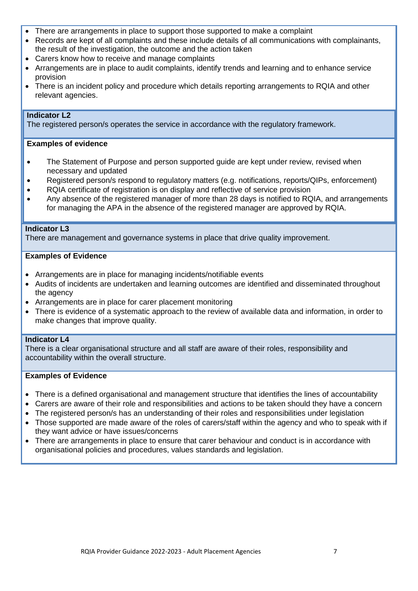- There are arrangements in place to support those supported to make a complaint
- Records are kept of all complaints and these include details of all communications with complainants, the result of the investigation, the outcome and the action taken
- Carers know how to receive and manage complaints
- Arrangements are in place to audit complaints, identify trends and learning and to enhance service provision
- There is an incident policy and procedure which details reporting arrangements to RQIA and other relevant agencies.

# **Indicator L2**

The registered person/s operates the service in accordance with the regulatory framework.

#### **Examples of evidence**

- The Statement of Purpose and person supported guide are kept under review, revised when necessary and updated
- Registered person/s respond to regulatory matters (e.g. notifications, reports/QIPs, enforcement)
- RQIA certificate of registration is on display and reflective of service provision
- Any absence of the registered manager of more than 28 days is notified to RQIA, and arrangements for managing the APA in the absence of the registered manager are approved by RQIA.

#### **Indicator L3**

There are management and governance systems in place that drive quality improvement.

#### **Examples of Evidence**

- Arrangements are in place for managing incidents/notifiable events
- Audits of incidents are undertaken and learning outcomes are identified and disseminated throughout the agency
- Arrangements are in place for carer placement monitoring
- There is evidence of a systematic approach to the review of available data and information, in order to make changes that improve quality.

#### **Indicator L4**

There is a clear organisational structure and all staff are aware of their roles, responsibility and accountability within the overall structure.

- There is a defined organisational and management structure that identifies the lines of accountability
- Carers are aware of their role and responsibilities and actions to be taken should they have a concern
- The registered person/s has an understanding of their roles and responsibilities under legislation
- Those supported are made aware of the roles of carers/staff within the agency and who to speak with if they want advice or have issues/concerns
- There are arrangements in place to ensure that carer behaviour and conduct is in accordance with organisational policies and procedures, values standards and legislation.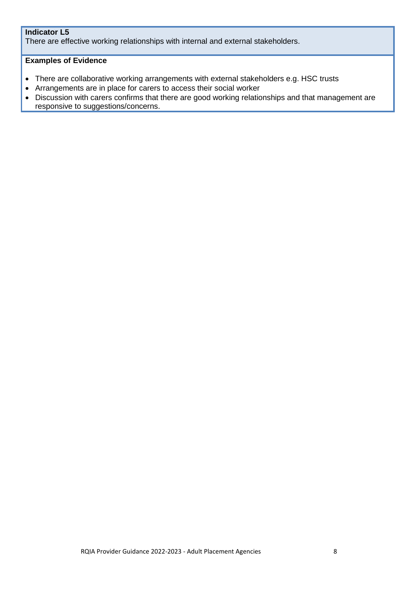# **Indicator L5**

There are effective working relationships with internal and external stakeholders.

- There are collaborative working arrangements with external stakeholders e.g. HSC trusts
- Arrangements are in place for carers to access their social worker
- Discussion with carers confirms that there are good working relationships and that management are responsive to suggestions/concerns.